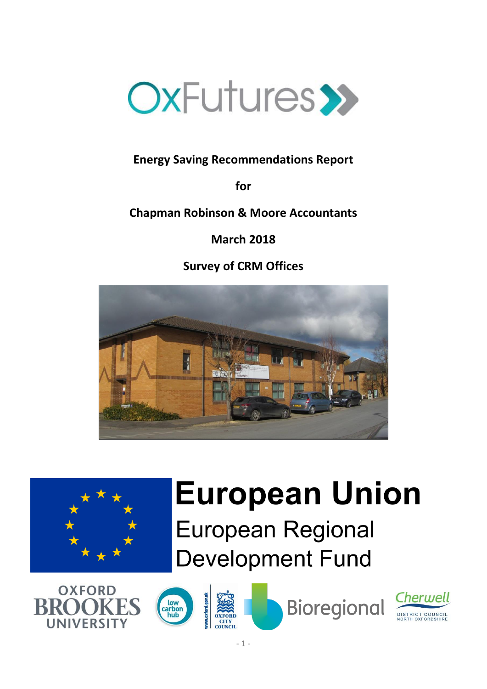

# **Energy Saving Recommendations Report**

**for**

**Chapman Robinson & Moore Accountants**

**March 2018**

**Survey of CRM Offices**





# **European Union**

**European Regional Development Fund** 







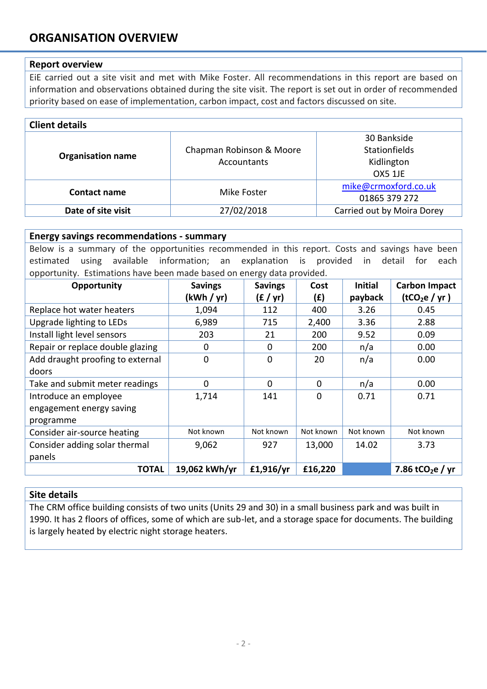# **ORGANISATION OVERVIEW**

#### **Report overview**

EiE carried out a site visit and met with Mike Foster. All recommendations in this report are based on information and observations obtained during the site visit. The report is set out in order of recommended priority based on ease of implementation, carbon impact, cost and factors discussed on site.

| <b>Client details</b>    |                                         |                                                                     |  |  |
|--------------------------|-----------------------------------------|---------------------------------------------------------------------|--|--|
| <b>Organisation name</b> | Chapman Robinson & Moore<br>Accountants | 30 Bankside<br><b>Stationfields</b><br>Kidlington<br><b>OX5 1JE</b> |  |  |
| Contact name             | Mike Foster                             | mike@crmoxford.co.uk<br>01865 379 272                               |  |  |
| Date of site visit       | 27/02/2018                              | Carried out by Moira Dorey                                          |  |  |

#### **Energy savings recommendations - summary**

Below is a summary of the opportunities recommended in this report. Costs and savings have been estimated using available information; an explanation is provided in detail for each opportunity. Estimations have been made based on energy data provided.

| .<br>Opportunity                 | <b>Savings</b> | <b>Savings</b> | Cost        | <b>Initial</b> | <b>Carbon Impact</b>         |
|----------------------------------|----------------|----------------|-------------|----------------|------------------------------|
|                                  | (kWh / yr)     | (f / yr)       | (f)         | payback        | (tCO <sub>2</sub> e / yr)    |
| Replace hot water heaters        | 1,094          | 112            | 400         | 3.26           | 0.45                         |
| Upgrade lighting to LEDs         | 6,989          | 715            | 2,400       | 3.36           | 2.88                         |
| Install light level sensors      | 203            | 21             | 200         | 9.52           | 0.09                         |
| Repair or replace double glazing | $\mathbf 0$    | $\Omega$       | 200         | n/a            | 0.00                         |
| Add draught proofing to external | $\overline{0}$ | 0              | 20          | n/a            | 0.00                         |
| doors                            |                |                |             |                |                              |
| Take and submit meter readings   | $\mathbf 0$    | 0              | $\mathbf 0$ | n/a            | 0.00                         |
| Introduce an employee            | 1,714          | 141            | 0           | 0.71           | 0.71                         |
| engagement energy saving         |                |                |             |                |                              |
| programme                        |                |                |             |                |                              |
| Consider air-source heating      | Not known      | Not known      | Not known   | Not known      | Not known                    |
| Consider adding solar thermal    | 9,062          | 927            | 13,000      | 14.02          | 3.73                         |
| panels                           |                |                |             |                |                              |
| <b>TOTAL</b>                     | 19,062 kWh/yr  | £1,916/yr      | £16,220     |                | 7.86 tCO <sub>2</sub> e / yr |

#### **Site details**

The CRM office building consists of two units (Units 29 and 30) in a small business park and was built in 1990. It has 2 floors of offices, some of which are sub-let, and a storage space for documents. The building is largely heated by electric night storage heaters.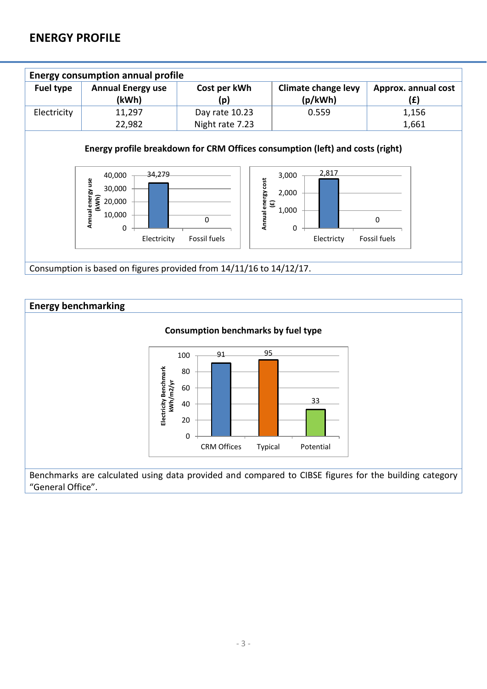# **ENERGY PROFILE**



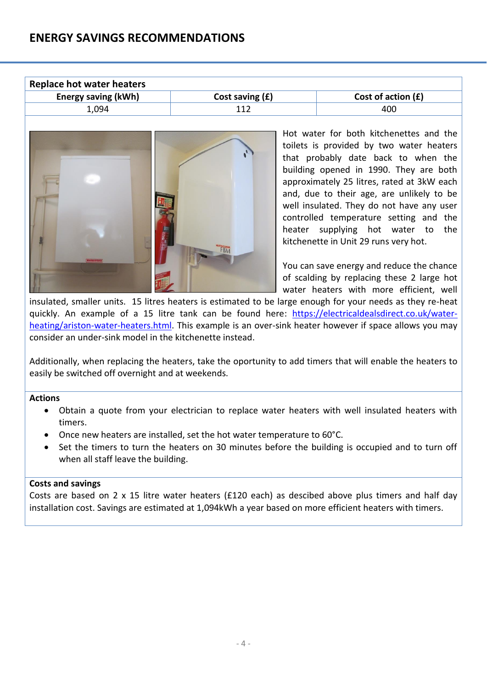| Replace hot water heaters  |                   |                      |
|----------------------------|-------------------|----------------------|
| <b>Energy saving (kWh)</b> | Cost saving $(f)$ | Cost of action $(f)$ |
| 1,094                      |                   | 400                  |



Hot water for both kitchenettes and the toilets is provided by two water heaters that probably date back to when the building opened in 1990. They are both approximately 25 litres, rated at 3kW each and, due to their age, are unlikely to be well insulated. They do not have any user controlled temperature setting and the heater supplying hot water to the kitchenette in Unit 29 runs very hot.

You can save energy and reduce the chance of scalding by replacing these 2 large hot water heaters with more efficient, well

insulated, smaller units. 15 litres heaters is estimated to be large enough for your needs as they re-heat quickly. An example of a 15 litre tank can be found here: [https://electricaldealsdirect.co.uk/water](https://electricaldealsdirect.co.uk/water-heating/ariston-water-heaters.html)[heating/ariston-water-heaters.html.](https://electricaldealsdirect.co.uk/water-heating/ariston-water-heaters.html) This example is an over-sink heater however if space allows you may consider an under-sink model in the kitchenette instead.

Additionally, when replacing the heaters, take the oportunity to add timers that will enable the heaters to easily be switched off overnight and at weekends.

## **Actions**

- Obtain a quote from your electrician to replace water heaters with well insulated heaters with timers.
- Once new heaters are installed, set the hot water temperature to 60°C.
- Set the timers to turn the heaters on 30 minutes before the building is occupied and to turn off when all staff leave the building.

#### **Costs and savings**

Costs are based on 2 x 15 litre water heaters (£120 each) as descibed above plus timers and half day installation cost. Savings are estimated at 1,094kWh a year based on more efficient heaters with timers.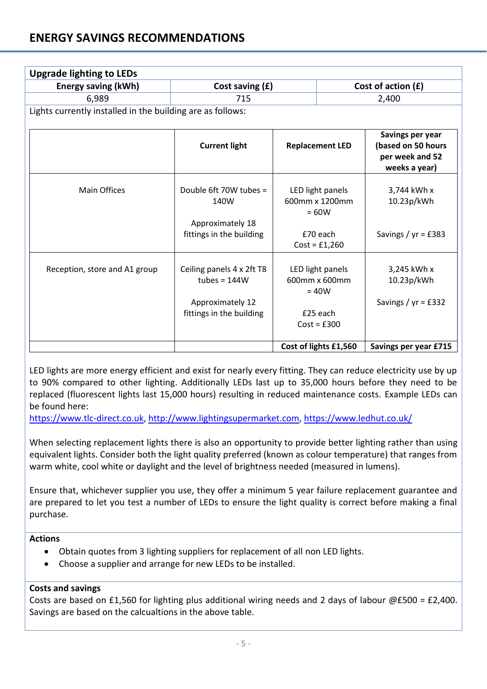# **ENERGY SAVINGS RECOMMENDATIONS**

| <b>Upgrade lighting to LEDs</b>                            |                                              |  |                                               |                                                                            |  |
|------------------------------------------------------------|----------------------------------------------|--|-----------------------------------------------|----------------------------------------------------------------------------|--|
| <b>Energy saving (kWh)</b>                                 | Cost saving (£)                              |  |                                               | Cost of action (£)                                                         |  |
| 6,989                                                      | 715                                          |  |                                               | 2,400                                                                      |  |
| Lights currently installed in the building are as follows: |                                              |  |                                               |                                                                            |  |
|                                                            | <b>Current light</b>                         |  | <b>Replacement LED</b>                        | Savings per year<br>(based on 50 hours<br>per week and 52<br>weeks a year) |  |
| <b>Main Offices</b>                                        | Double 6ft 70W tubes =<br>140W               |  | LED light panels<br>600mm x 1200mm<br>$= 60W$ | 3,744 kWh x<br>10.23p/kWh                                                  |  |
|                                                            | Approximately 18<br>fittings in the building |  | £70 each<br>$Cost = £1,260$                   | Savings / $yr = £383$                                                      |  |
| Reception, store and A1 group                              | Ceiling panels 4 x 2ft T8<br>tubes = $144W$  |  | LED light panels<br>600mm x 600mm<br>$= 40W$  | 3,245 kWh x<br>10.23p/kWh                                                  |  |
|                                                            | Approximately 12<br>fittings in the building |  | £25 each<br>$Cost = £300$                     | Savings / $yr = £332$                                                      |  |
|                                                            |                                              |  | Cost of lights £1,560                         | Savings per year £715                                                      |  |

LED lights are more energy efficient and exist for nearly every fitting. They can reduce electricity use by up to 90% compared to other lighting. Additionally LEDs last up to 35,000 hours before they need to be replaced (fluorescent lights last 15,000 hours) resulting in reduced maintenance costs. Example LEDs can be found here:

[https://www.tlc-direct.co.uk,](https://www.tlc-direct.co.uk/) [http://www.lightingsupermarket.com,](http://www.lightingsupermarket.com/)<https://www.ledhut.co.uk/>

When selecting replacement lights there is also an opportunity to provide better lighting rather than using equivalent lights. Consider both the light quality preferred (known as colour temperature) that ranges from warm white, cool white or daylight and the level of brightness needed (measured in lumens).

Ensure that, whichever supplier you use, they offer a minimum 5 year failure replacement guarantee and are prepared to let you test a number of LEDs to ensure the light quality is correct before making a final purchase.

#### **Actions**

- Obtain quotes from 3 lighting suppliers for replacement of all non LED lights.
- Choose a supplier and arrange for new LEDs to be installed.

## **Costs and savings**

Costs are based on £1,560 for lighting plus additional wiring needs and 2 days of labour  $@E500 = E2,400$ . Savings are based on the calcualtions in the above table.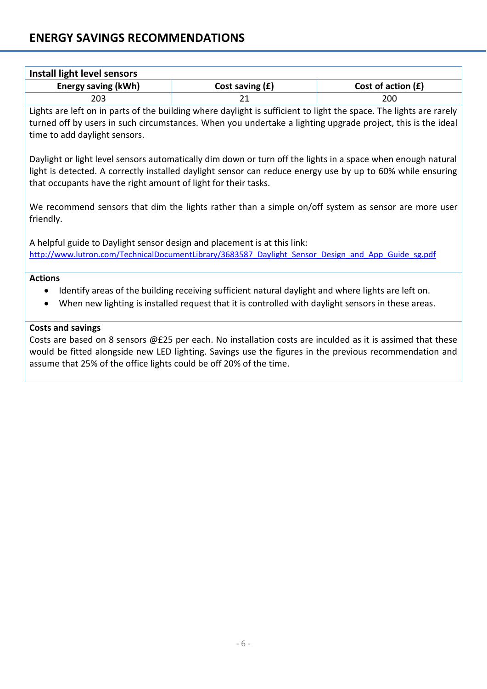# **ENERGY SAVINGS RECOMMENDATIONS**

| Install light level sensors |                   |                      |
|-----------------------------|-------------------|----------------------|
| <b>Energy saving (kWh)</b>  | Cost saving $(f)$ | Cost of action $(f)$ |
| 203                         |                   | 200                  |

Lights are left on in parts of the building where daylight is sufficient to light the space. The lights are rarely turned off by users in such circumstances. When you undertake a lighting upgrade project, this is the ideal time to add daylight sensors.

Daylight or light level sensors automatically dim down or turn off the lights in a space when enough natural light is detected. A correctly installed daylight sensor can reduce energy use by up to 60% while ensuring that occupants have the right amount of light for their tasks.

We recommend sensors that dim the lights rather than a simple on/off system as sensor are more user friendly.

A helpful guide to Daylight sensor design and placement is at this link: http://www.lutron.com/TechnicalDocumentLibrary/3683587 Daylight\_Sensor\_Design\_and\_App\_Guide\_sg.pdf

## **Actions**

- Identify areas of the building receiving sufficient natural daylight and where lights are left on.
- When new lighting is installed request that it is controlled with daylight sensors in these areas.

#### **Costs and savings**

Costs are based on 8 sensors @£25 per each. No installation costs are inculded as it is assimed that these would be fitted alongside new LED lighting. Savings use the figures in the previous recommendation and assume that 25% of the office lights could be off 20% of the time.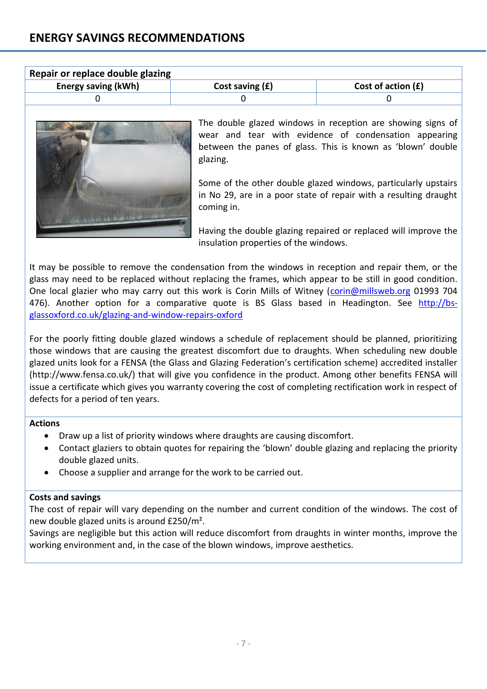| Repair or replace double glazing |                      |  |  |  |
|----------------------------------|----------------------|--|--|--|
| Cost saving $(f)$                | Cost of action $(f)$ |  |  |  |
|                                  |                      |  |  |  |
|                                  |                      |  |  |  |



The double glazed windows in reception are showing signs of wear and tear with evidence of condensation appearing between the panes of glass. This is known as 'blown' double glazing.

Some of the other double glazed windows, particularly upstairs in No 29, are in a poor state of repair with a resulting draught coming in.

Having the double glazing repaired or replaced will improve the insulation properties of the windows.

It may be possible to remove the condensation from the windows in reception and repair them, or the glass may need to be replaced without replacing the frames, which appear to be still in good condition. One local glazier who may carry out this work is Corin Mills of Witney [\(corin@millsweb.org](mailto:corin@millsweb.org) 01993 704 476). Another option for a comparative quote is BS Glass based in Headington. See [http://bs](http://bs-glassoxford.co.uk/glazing-and-window-repairs-oxford)[glassoxford.co.uk/glazing-and-window-repairs-oxford](http://bs-glassoxford.co.uk/glazing-and-window-repairs-oxford)

For the poorly fitting double glazed windows a schedule of replacement should be planned, prioritizing those windows that are causing the greatest discomfort due to draughts. When scheduling new double glazed units look for a FENSA (the Glass and Glazing Federation's certification scheme) accredited installer (http://www.fensa.co.uk/) that will give you confidence in the product. Among other benefits FENSA will issue a certificate which gives you warranty covering the cost of completing rectification work in respect of defects for a period of ten years.

## **Actions**

- Draw up a list of priority windows where draughts are causing discomfort.
- Contact glaziers to obtain quotes for repairing the 'blown' double glazing and replacing the priority double glazed units.
- Choose a supplier and arrange for the work to be carried out.

## **Costs and savings**

The cost of repair will vary depending on the number and current condition of the windows. The cost of new double glazed units is around £250/m².

Savings are negligible but this action will reduce discomfort from draughts in winter months, improve the working environment and, in the case of the blown windows, improve aesthetics.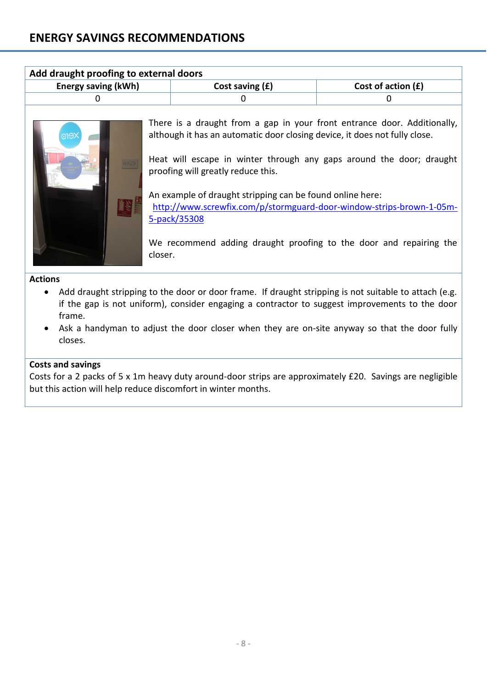| Add draught proofing to external doors |                   |                      |  |  |
|----------------------------------------|-------------------|----------------------|--|--|
| <b>Energy saving (kWh)</b>             | Cost saving $(f)$ | Cost of action $(E)$ |  |  |
|                                        |                   |                      |  |  |



There is a draught from a gap in your front entrance door. Additionally, although it has an automatic door closing device, it does not fully close.

Heat will escape in winter through any gaps around the door; draught proofing will greatly reduce this.

An example of draught stripping can be found online here: [http://www.screwfix.com/p/stormguard-door-window-strips-brown-1-05m-](http://www.screwfix.com/p/stormguard-door-window-strips-brown-1-05m-5-pack/35308)[5-pack/35308](http://www.screwfix.com/p/stormguard-door-window-strips-brown-1-05m-5-pack/35308)

We recommend adding draught proofing to the door and repairing the closer.

#### **Actions**

- Add draught stripping to the door or door frame. If draught stripping is not suitable to attach (e.g. if the gap is not uniform), consider engaging a contractor to suggest improvements to the door frame.
- Ask a handyman to adjust the door closer when they are on-site anyway so that the door fully closes.

#### **Costs and savings**

Costs for a 2 packs of 5 x 1m heavy duty around-door strips are approximately £20. Savings are negligible but this action will help reduce discomfort in winter months.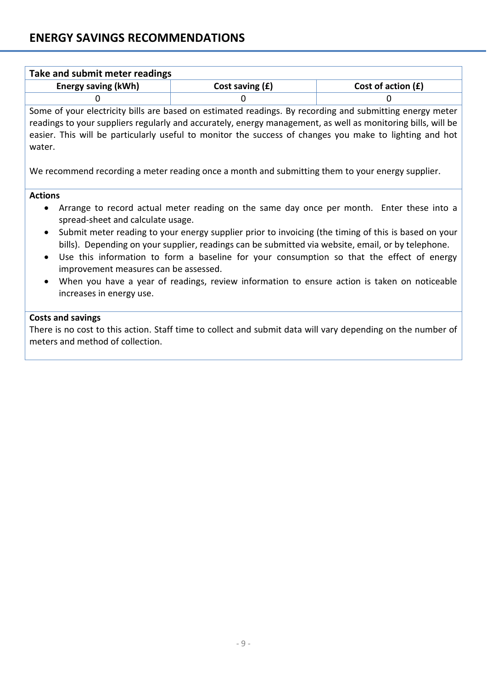| Take and submit meter readings                                                                                                                                                                                                                                                                                                                                                                                                                                                                                                                                                                                                   |                                                                                                  |                      |  |  |
|----------------------------------------------------------------------------------------------------------------------------------------------------------------------------------------------------------------------------------------------------------------------------------------------------------------------------------------------------------------------------------------------------------------------------------------------------------------------------------------------------------------------------------------------------------------------------------------------------------------------------------|--------------------------------------------------------------------------------------------------|----------------------|--|--|
| <b>Energy saving (kWh)</b>                                                                                                                                                                                                                                                                                                                                                                                                                                                                                                                                                                                                       | Cost saving (£)                                                                                  | Cost of action $(f)$ |  |  |
| 0                                                                                                                                                                                                                                                                                                                                                                                                                                                                                                                                                                                                                                | <sup>0</sup>                                                                                     | 0                    |  |  |
| Some of your electricity bills are based on estimated readings. By recording and submitting energy meter<br>readings to your suppliers regularly and accurately, energy management, as well as monitoring bills, will be<br>easier. This will be particularly useful to monitor the success of changes you make to lighting and hot                                                                                                                                                                                                                                                                                              |                                                                                                  |                      |  |  |
| water.                                                                                                                                                                                                                                                                                                                                                                                                                                                                                                                                                                                                                           |                                                                                                  |                      |  |  |
|                                                                                                                                                                                                                                                                                                                                                                                                                                                                                                                                                                                                                                  | We recommend recording a meter reading once a month and submitting them to your energy supplier. |                      |  |  |
| <b>Actions</b><br>Arrange to record actual meter reading on the same day once per month. Enter these into a<br>spread-sheet and calculate usage.<br>Submit meter reading to your energy supplier prior to invoicing (the timing of this is based on your<br>bills). Depending on your supplier, readings can be submitted via website, email, or by telephone.<br>Use this information to form a baseline for your consumption so that the effect of energy<br>improvement measures can be assessed.<br>When you have a year of readings, review information to ensure action is taken on noticeable<br>increases in energy use. |                                                                                                  |                      |  |  |
| <b>Costs and savings</b><br>There is no cost to this action. Staff time to collect and submit data will vary depending on the number of<br>meters and method of collection.                                                                                                                                                                                                                                                                                                                                                                                                                                                      |                                                                                                  |                      |  |  |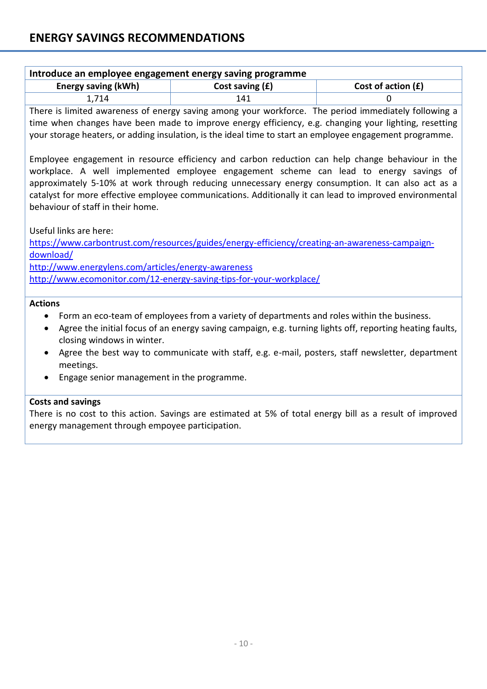| --<br><b>Energy saving (kWh)</b> | . .<br>---<br>Cost saving $(f)$ | Cost of action $(f)$ |
|----------------------------------|---------------------------------|----------------------|
|                                  |                                 |                      |

There is limited awareness of energy saving among your workforce. The period immediately following a time when changes have been made to improve energy efficiency, e.g. changing your lighting, resetting your storage heaters, or adding insulation, is the ideal time to start an employee engagement programme.

Employee engagement in resource efficiency and carbon reduction can help change behaviour in the workplace. A well implemented employee engagement scheme can lead to energy savings of approximately 5-10% at work through reducing unnecessary energy consumption. It can also act as a catalyst for more effective employee communications. Additionally it can lead to improved environmental behaviour of staff in their home.

Useful links are here:

[https://www.carbontrust.com/resources/guides/energy-efficiency/creating-an-awareness-campaign](https://www.carbontrust.com/resources/guides/energy-efficiency/creating-an-awareness-campaign-download/)[download/](https://www.carbontrust.com/resources/guides/energy-efficiency/creating-an-awareness-campaign-download/)

<http://www.energylens.com/articles/energy-awareness>

<http://www.ecomonitor.com/12-energy-saving-tips-for-your-workplace/>

#### **Actions**

- Form an eco-team of employees from a variety of departments and roles within the business.
- Agree the initial focus of an energy saving campaign, e.g. turning lights off, reporting heating faults, closing windows in winter.
- Agree the best way to communicate with staff, e.g. e-mail, posters, staff newsletter, department meetings.
- Engage senior management in the programme.

## **Costs and savings**

There is no cost to this action. Savings are estimated at 5% of total energy bill as a result of improved energy management through empoyee participation.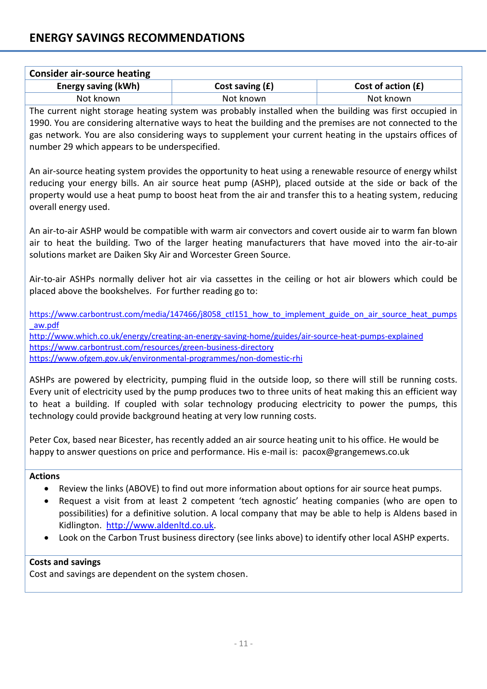| <b>Consider air-source heating</b>                                                                                                                                                                                                                                                                                                                                                                         |                                                                                                                                                                                                                  |                      |  |
|------------------------------------------------------------------------------------------------------------------------------------------------------------------------------------------------------------------------------------------------------------------------------------------------------------------------------------------------------------------------------------------------------------|------------------------------------------------------------------------------------------------------------------------------------------------------------------------------------------------------------------|----------------------|--|
| <b>Energy saving (kWh)</b>                                                                                                                                                                                                                                                                                                                                                                                 | Cost saving (£)                                                                                                                                                                                                  | Cost of action $(f)$ |  |
| Not known                                                                                                                                                                                                                                                                                                                                                                                                  | Not known                                                                                                                                                                                                        | Not known            |  |
| The current night storage heating system was probably installed when the building was first occupied in<br>1990. You are considering alternative ways to heat the building and the premises are not connected to the<br>gas network. You are also considering ways to supplement your current heating in the upstairs offices of<br>number 29 which appears to be underspecified.                          |                                                                                                                                                                                                                  |                      |  |
| An air-source heating system provides the opportunity to heat using a renewable resource of energy whilst<br>reducing your energy bills. An air source heat pump (ASHP), placed outside at the side or back of the<br>property would use a heat pump to boost heat from the air and transfer this to a heating system, reducing<br>overall energy used.                                                    |                                                                                                                                                                                                                  |                      |  |
| solutions market are Daiken Sky Air and Worcester Green Source.                                                                                                                                                                                                                                                                                                                                            | An air-to-air ASHP would be compatible with warm air convectors and covert ouside air to warm fan blown<br>air to heat the building. Two of the larger heating manufacturers that have moved into the air-to-air |                      |  |
| placed above the bookshelves. For further reading go to:                                                                                                                                                                                                                                                                                                                                                   | Air-to-air ASHPs normally deliver hot air via cassettes in the ceiling or hot air blowers which could be                                                                                                         |                      |  |
| aw.pdf                                                                                                                                                                                                                                                                                                                                                                                                     | https://www.carbontrust.com/media/147466/j8058 ctl151 how to implement guide on air source heat pumps                                                                                                            |                      |  |
| http://www.which.co.uk/energy/creating-an-energy-saving-home/guides/air-source-heat-pumps-explained<br>https://www.carbontrust.com/resources/green-business-directory<br>https://www.ofgem.gov.uk/environmental-programmes/non-domestic-rhi                                                                                                                                                                |                                                                                                                                                                                                                  |                      |  |
| ASHPs are powered by electricity, pumping fluid in the outside loop, so there will still be running costs.<br>Every unit of electricity used by the pump produces two to three units of heat making this an efficient way<br>to heat a building. If coupled with solar technology producing electricity to power the pumps, this<br>technology could provide background heating at very low running costs. |                                                                                                                                                                                                                  |                      |  |
|                                                                                                                                                                                                                                                                                                                                                                                                            | Peter Cox, based near Bicester, has recently added an air source heating unit to his office. He would be<br>happy to answer questions on price and performance. His e-mail is: pacox@grangemews.co.uk            |                      |  |
| <b>Actions</b>                                                                                                                                                                                                                                                                                                                                                                                             |                                                                                                                                                                                                                  |                      |  |
| Review the links (ABOVE) to find out more information about options for air source heat pumps.<br>Request a visit from at least 2 competent 'tech agnostic' heating companies (who are open to<br>possibilities) for a definitive solution. A local company that may be able to help is Aldens based in<br>Kidlington. http://www.aldenltd.co.uk.                                                          |                                                                                                                                                                                                                  |                      |  |
|                                                                                                                                                                                                                                                                                                                                                                                                            | Look on the Carbon Trust business directory (see links above) to identify other local ASHP experts.                                                                                                              |                      |  |
| <b>Costs and savings</b><br>Cost and savings are dependent on the system chosen.                                                                                                                                                                                                                                                                                                                           |                                                                                                                                                                                                                  |                      |  |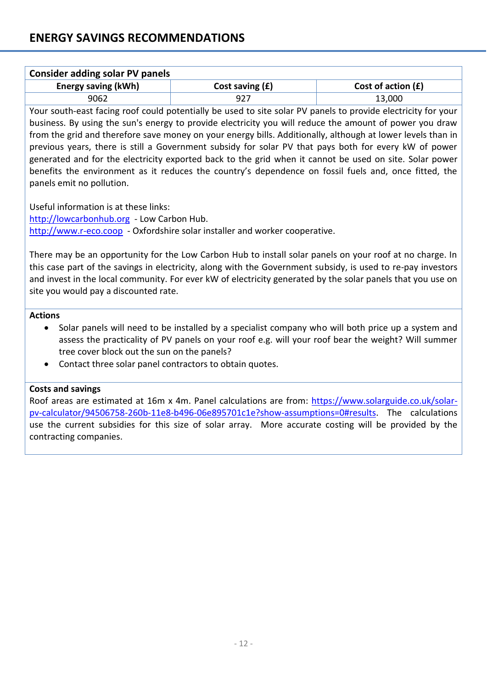| <b>Energy saving (kWh)</b> | Cost saving $(f)$ | Cost of action $(f)$ |
|----------------------------|-------------------|----------------------|
| 9062                       | u,                | L3.000               |

Your south-east facing roof could potentially be used to site solar PV panels to provide electricity for your business. By using the sun's energy to provide electricity you will reduce the amount of power you draw from the grid and therefore save money on your energy bills. Additionally, although at lower levels than in previous years, there is still a Government subsidy for solar PV that pays both for every kW of power generated and for the electricity exported back to the grid when it cannot be used on site. Solar power benefits the environment as it reduces the country's dependence on fossil fuels and, once fitted, the panels emit no pollution.

Useful information is at these links:

[http://lowcarbonhub.org](http://lowcarbonhub.org/) - Low Carbon Hub. [http://www.r-eco.coop](http://www.r-eco.coop/) - Oxfordshire solar installer and worker cooperative.

There may be an opportunity for the Low Carbon Hub to install solar panels on your roof at no charge. In this case part of the savings in electricity, along with the Government subsidy, is used to re-pay investors and invest in the local community. For ever kW of electricity generated by the solar panels that you use on site you would pay a discounted rate.

#### **Actions**

- Solar panels will need to be installed by a specialist company who will both price up a system and assess the practicality of PV panels on your roof e.g. will your roof bear the weight? Will summer tree cover block out the sun on the panels?
- Contact three solar panel contractors to obtain quotes.

## **Costs and savings**

Roof areas are estimated at 16m x 4m. Panel calculations are from: [https://www.solarguide.co.uk/solar](https://www.solarguide.co.uk/solar-pv-calculator/94506758-260b-11e8-b496-06e895701c1e?show-assumptions=0#results)[pv-calculator/94506758-260b-11e8-b496-06e895701c1e?show-assumptions=0#results.](https://www.solarguide.co.uk/solar-pv-calculator/94506758-260b-11e8-b496-06e895701c1e?show-assumptions=0#results) The calculations use the current subsidies for this size of solar array. More accurate costing will be provided by the contracting companies.